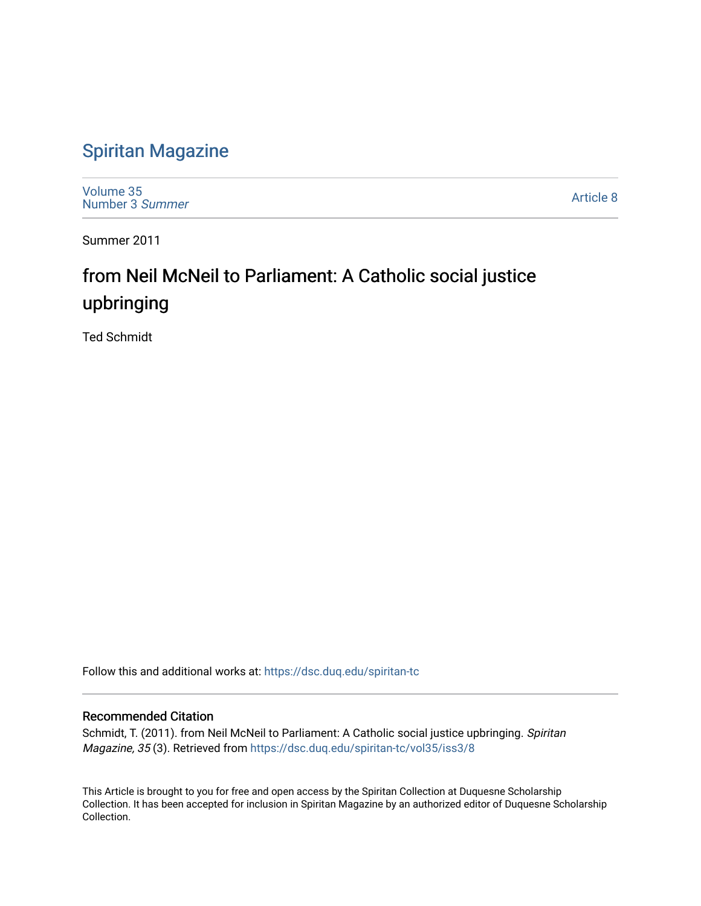#### [Spiritan Magazine](https://dsc.duq.edu/spiritan-tc)

[Volume 35](https://dsc.duq.edu/spiritan-tc/vol35) [Number 3](https://dsc.duq.edu/spiritan-tc/vol35/iss3) Summer

[Article 8](https://dsc.duq.edu/spiritan-tc/vol35/iss3/8) 

Summer 2011

### from Neil McNeil to Parliament: A Catholic social justice upbringing

Ted Schmidt

Follow this and additional works at: [https://dsc.duq.edu/spiritan-tc](https://dsc.duq.edu/spiritan-tc?utm_source=dsc.duq.edu%2Fspiritan-tc%2Fvol35%2Fiss3%2F8&utm_medium=PDF&utm_campaign=PDFCoverPages)

#### Recommended Citation

Schmidt, T. (2011). from Neil McNeil to Parliament: A Catholic social justice upbringing. Spiritan Magazine, 35 (3). Retrieved from [https://dsc.duq.edu/spiritan-tc/vol35/iss3/8](https://dsc.duq.edu/spiritan-tc/vol35/iss3/8?utm_source=dsc.duq.edu%2Fspiritan-tc%2Fvol35%2Fiss3%2F8&utm_medium=PDF&utm_campaign=PDFCoverPages) 

This Article is brought to you for free and open access by the Spiritan Collection at Duquesne Scholarship Collection. It has been accepted for inclusion in Spiritan Magazine by an authorized editor of Duquesne Scholarship Collection.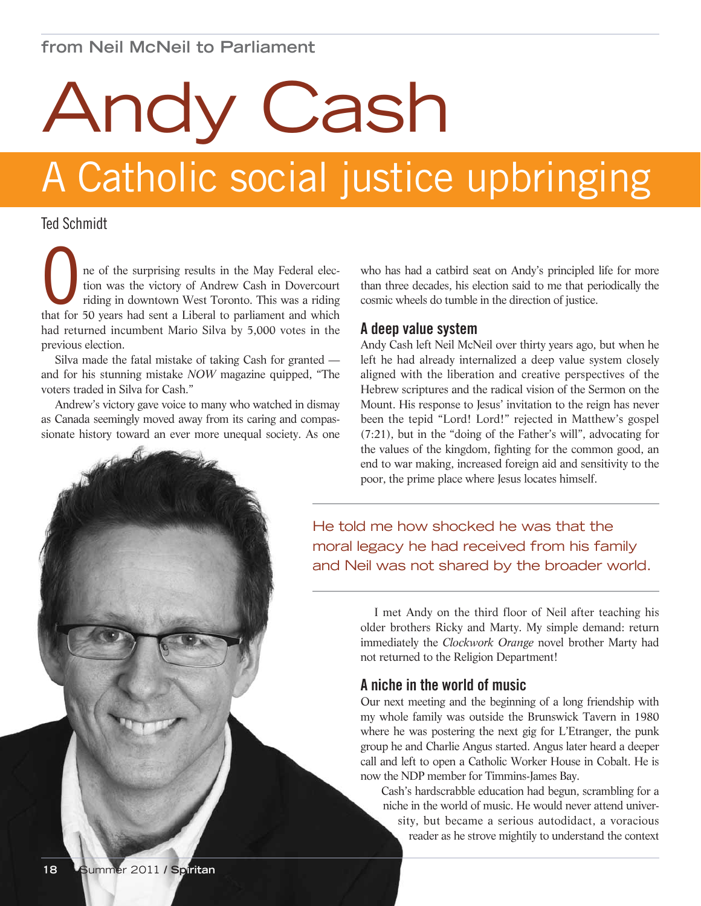#### **from Neil McNeil to Parliament**

# Andy Cash

# A Catholic social justice upbringing

#### Ted Schmidt

ne of the surprising results in the May Federal election was the victory of Andrew Cash in Dovercourt riding in downtown West Toronto. This was a riding that for 50 years had sent a Liberal to parliament and which had returned incumbent Mario Silva by 5,000 votes in the previous election.

Silva made the fatal mistake of taking Cash for granted and for his stunning mistake *NOW* magazine quipped, "The voters traded in Silva for Cash."

Andrew's victory gave voice to many who watched in dismay as Canada seemingly moved away from its caring and compassionate history toward an ever more unequal society. As one who has had a catbird seat on Andy's principled life for more than three decades, his election said to me that periodically the cosmic wheels do tumble in the direction of justice.

#### **A deep value system**

Andy Cash left Neil McNeil over thirty years ago, but when he left he had already internalized a deep value system closely aligned with the liberation and creative perspectives of the Hebrew scriptures and the radical vision of the Sermon on the Mount. His response to Jesus' invitation to the reign has never been the tepid "Lord! Lord!" rejected in Matthew's gospel (7:21), but in the "doing of the Father's will", advocating for the values of the kingdom, fighting for the common good, an end to war making, increased foreign aid and sensitivity to the poor, the prime place where Jesus locates himself.

He told me how shocked he was that the moral legacy he had received from his family and Neil was not shared by the broader world.

> I met Andy on the third floor of Neil after teaching his older brothers Ricky and Marty. My simple demand: return immediately the *Clockwork Orange* novel brother Marty had not returned to the Religion Department!

#### **A niche in the world of music**

Our next meeting and the beginning of a long friendship with my whole family was outside the Brunswick Tavern in 1980 where he was postering the next gig for L'Etranger, the punk group he and Charlie Angus started. Angus later heard a deeper call and left to open a Catholic Worker House in Cobalt. He is now the NDP member for Timmins-James Bay.

Cash's hardscrabble education had begun, scrambling for a niche in the world of music. He would never attend university, but became a serious autodidact, a voracious reader as he strove mightily to understand the context